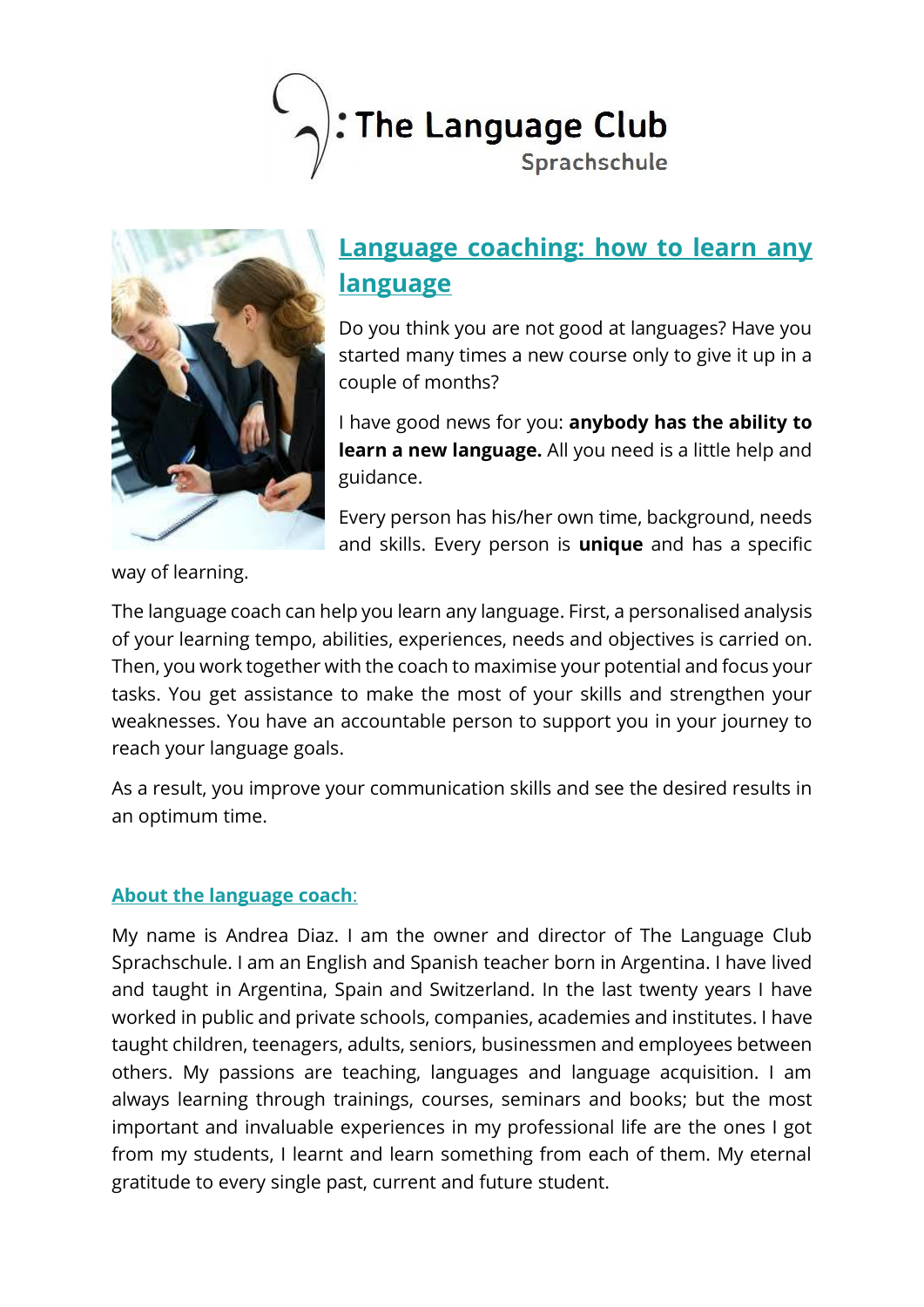



## **Language coaching: how to learn any language**

Do you think you are not good at languages? Have you started many times a new course only to give it up in a couple of months?

I have good news for you: **anybody has the ability to learn a new language.** All you need is a little help and guidance.

Every person has his/her own time, background, needs and skills. Every person is **unique** and has a specific

way of learning.

The language coach can help you learn any language. First, a personalised analysis of your learning tempo, abilities, experiences, needs and objectives is carried on. Then, you work together with the coach to maximise your potential and focus your tasks. You get assistance to make the most of your skills and strengthen your weaknesses. You have an accountable person to support you in your journey to reach your language goals.

As a result, you improve your communication skills and see the desired results in an optimum time.

## **About the language coach**:

My name is Andrea Diaz. I am the owner and director of The Language Club Sprachschule. I am an English and Spanish teacher born in Argentina. I have lived and taught in Argentina, Spain and Switzerland. In the last twenty years I have worked in public and private schools, companies, academies and institutes. I have taught children, teenagers, adults, seniors, businessmen and employees between others. My passions are teaching, languages and language acquisition. I am always learning through trainings, courses, seminars and books; but the most important and invaluable experiences in my professional life are the ones I got from my students, I learnt and learn something from each of them. My eternal gratitude to every single past, current and future student.